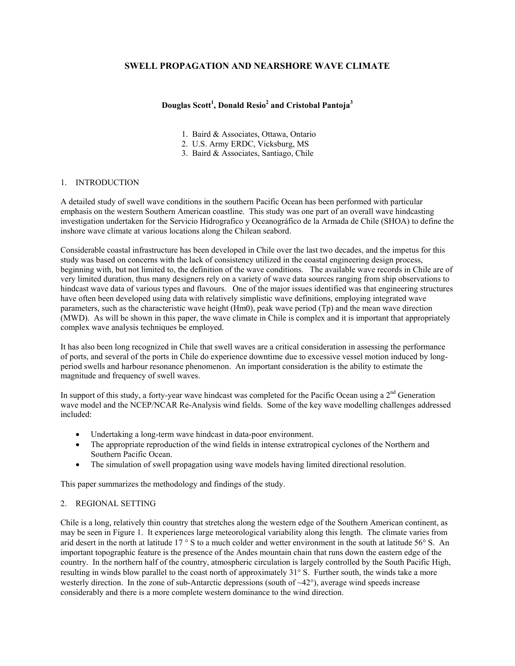# **SWELL PROPAGATION AND NEARSHORE WAVE CLIMATE**

# **Douglas Scott1 , Donald Resio<sup>2</sup> and Cristobal Pantoja<sup>3</sup>**

- 1. Baird & Associates, Ottawa, Ontario
- 2. U.S. Army ERDC, Vicksburg, MS
- 3. Baird & Associates, Santiago, Chile

# 1. INTRODUCTION

A detailed study of swell wave conditions in the southern Pacific Ocean has been performed with particular emphasis on the western Southern American coastline. This study was one part of an overall wave hindcasting investigation undertaken for the Servicio Hidrografico y Oceanográfico de la Armada de Chile (SHOA) to define the inshore wave climate at various locations along the Chilean seabord.

Considerable coastal infrastructure has been developed in Chile over the last two decades, and the impetus for this study was based on concerns with the lack of consistency utilized in the coastal engineering design process, beginning with, but not limited to, the definition of the wave conditions. The available wave records in Chile are of very limited duration, thus many designers rely on a variety of wave data sources ranging from ship observations to hindcast wave data of various types and flavours. One of the major issues identified was that engineering structures have often been developed using data with relatively simplistic wave definitions, employing integrated wave parameters, such as the characteristic wave height (Hm0), peak wave period (Tp) and the mean wave direction (MWD). As will be shown in this paper, the wave climate in Chile is complex and it is important that appropriately complex wave analysis techniques be employed.

It has also been long recognized in Chile that swell waves are a critical consideration in assessing the performance of ports, and several of the ports in Chile do experience downtime due to excessive vessel motion induced by longperiod swells and harbour resonance phenomenon. An important consideration is the ability to estimate the magnitude and frequency of swell waves.

In support of this study, a forty-year wave hindcast was completed for the Pacific Ocean using a  $2<sup>nd</sup>$  Generation wave model and the NCEP/NCAR Re-Analysis wind fields. Some of the key wave modelling challenges addressed included:

- Undertaking a long-term wave hindcast in data-poor environment.
- The appropriate reproduction of the wind fields in intense extratropical cyclones of the Northern and Southern Pacific Ocean.
- The simulation of swell propagation using wave models having limited directional resolution.

This paper summarizes the methodology and findings of the study.

# 2. REGIONAL SETTING

Chile is a long, relatively thin country that stretches along the western edge of the Southern American continent, as may be seen in Figure 1. It experiences large meteorological variability along this length. The climate varies from arid desert in the north at latitude 17 ° S to a much colder and wetter environment in the south at latitude 56° S. An important topographic feature is the presence of the Andes mountain chain that runs down the eastern edge of the country. In the northern half of the country, atmospheric circulation is largely controlled by the South Pacific High, resulting in winds blow parallel to the coast north of approximately 31° S. Further south, the winds take a more westerly direction. In the zone of sub-Antarctic depressions (south of ~42°), average wind speeds increase considerably and there is a more complete western dominance to the wind direction.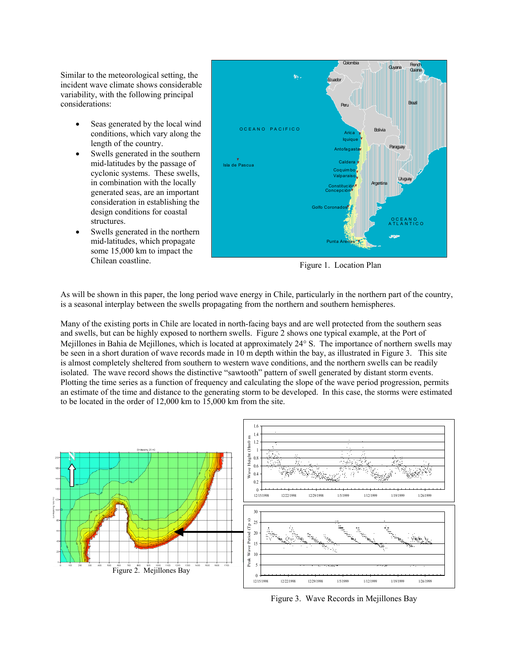Similar to the meteorological setting, the incident wave climate shows considerable variability, with the following principal considerations:

- Seas generated by the local wind conditions, which vary along the length of the country.
- Swells generated in the southern mid-latitudes by the passage of cyclonic systems. These swells, in combination with the locally generated seas, are an important consideration in establishing the design conditions for coastal structures.
- Swells generated in the northern mid-latitudes, which propagate some 15,000 km to impact the Chilean coastline.



Figure 1. Location Plan

As will be shown in this paper, the long period wave energy in Chile, particularly in the northern part of the country, is a seasonal interplay between the swells propagating from the northern and southern hemispheres.

Many of the existing ports in Chile are located in north-facing bays and are well protected from the southern seas and swells, but can be highly exposed to northern swells. Figure 2 shows one typical example, at the Port of Mejillones in Bahia de Mejillones, which is located at approximately 24° S. The importance of northern swells may be seen in a short duration of wave records made in 10 m depth within the bay, as illustrated in Figure 3. This site is almost completely sheltered from southern to western wave conditions, and the northern swells can be readily isolated. The wave record shows the distinctive "sawtooth" pattern of swell generated by distant storm events. Plotting the time series as a function of frequency and calculating the slope of the wave period progression, permits an estimate of the time and distance to the generating storm to be developed. In this case, the storms were estimated to be located in the order of 12,000 km to 15,000 km from the site.



Figure 3. Wave Records in Mejillones Bay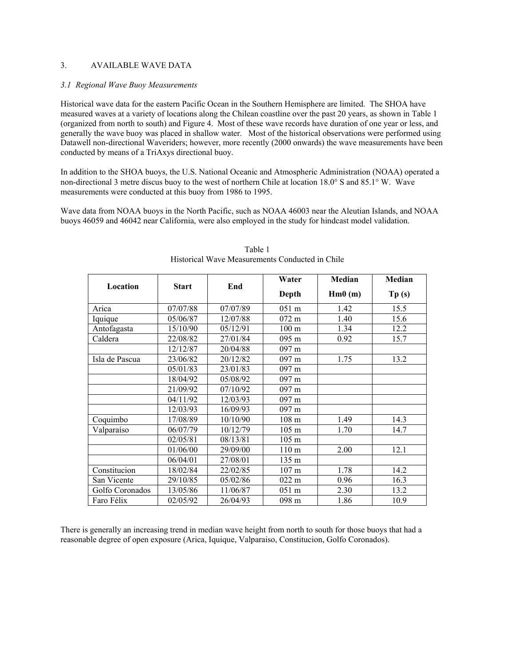## 3. AVAILABLE WAVE DATA

#### *3.1 Regional Wave Buoy Measurements*

Historical wave data for the eastern Pacific Ocean in the Southern Hemisphere are limited. The SHOA have measured waves at a variety of locations along the Chilean coastline over the past 20 years, as shown in Table 1 (organized from north to south) and Figure 4. Most of these wave records have duration of one year or less, and generally the wave buoy was placed in shallow water. Most of the historical observations were performed using Datawell non-directional Waveriders; however, more recently (2000 onwards) the wave measurements have been conducted by means of a TriAxys directional buoy.

In addition to the SHOA buoys, the U.S. National Oceanic and Atmospheric Administration (NOAA) operated a non-directional 3 metre discus buoy to the west of northern Chile at location 18.0° S and 85.1° W. Wave measurements were conducted at this buoy from 1986 to 1995.

Wave data from NOAA buoys in the North Pacific, such as NOAA 46003 near the Aleutian Islands, and NOAA buoys 46059 and 46042 near California, were also employed in the study for hindcast model validation.

| Location        | <b>Start</b> | End      | Water            | Median | Median |
|-----------------|--------------|----------|------------------|--------|--------|
|                 |              |          | Depth            | Hm0(m) | Tp(s)  |
| Arica           | 07/07/88     | 07/07/89 | $051 \text{ m}$  | 1.42   | 15.5   |
| Iquique         | 05/06/87     | 12/07/88 | $072 \text{ m}$  | 1.40   | 15.6   |
| Antofagasta     | 15/10/90     | 05/12/91 | 100 <sub>m</sub> | 1.34   | 12.2   |
| Caldera         | 22/08/82     | 27/01/84 | 095 m            | 0.92   | 15.7   |
|                 | 12/12/87     | 20/04/88 | $097 \text{ m}$  |        |        |
| Isla de Pascua  | 23/06/82     | 20/12/82 | $097 \text{ m}$  | 1.75   | 13.2   |
|                 | 05/01/83     | 23/01/83 | $097 \text{ m}$  |        |        |
|                 | 18/04/92     | 05/08/92 | $097 \text{ m}$  |        |        |
|                 | 21/09/92     | 07/10/92 | 097 m            |        |        |
|                 | 04/11/92     | 12/03/93 | $097 \text{ m}$  |        |        |
|                 | 12/03/93     | 16/09/93 | $097 \text{ m}$  |        |        |
| Coquimbo        | 17/08/89     | 10/10/90 | 108 m            | 1.49   | 14.3   |
| Valparaíso      | 06/07/79     | 10/12/79 | $105 \text{ m}$  | 1.70   | 14.7   |
|                 | 02/05/81     | 08/13/81 | 105 <sub>m</sub> |        |        |
|                 | 01/06/00     | 29/09/00 | 110 m            | 2.00   | 12.1   |
|                 | 06/04/01     | 27/08/01 | 135 m            |        |        |
| Constitucion    | 18/02/84     | 22/02/85 | $107 \text{ m}$  | 1.78   | 14.2   |
| San Vicente     | 29/10/85     | 05/02/86 | $022 \text{ m}$  | 0.96   | 16.3   |
| Golfo Coronados | 13/05/86     | 11/06/87 | $051 \text{ m}$  | 2.30   | 13.2   |
| Faro Félix      | 02/05/92     | 26/04/93 | 098 m            | 1.86   | 10.9   |

Table 1 Historical Wave Measurements Conducted in Chile

There is generally an increasing trend in median wave height from north to south for those buoys that had a reasonable degree of open exposure (Arica, Iquique, Valparaiso, Constitucion, Golfo Coronados).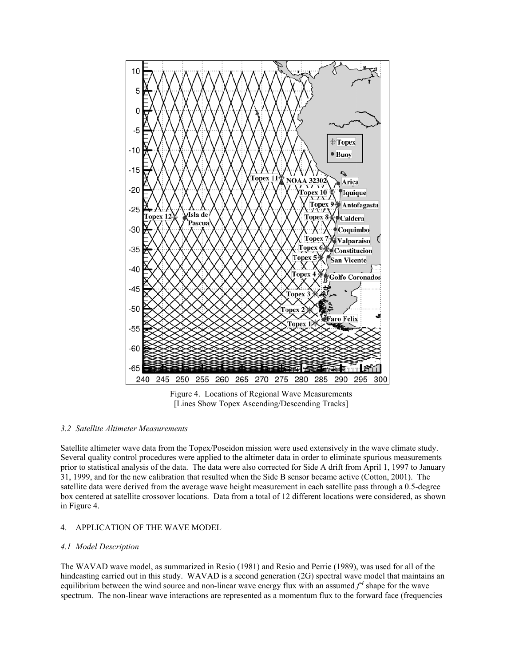

Figure 4. Locations of Regional Wave Measurements [Lines Show Topex Ascending/Descending Tracks]

#### *3.2 Satellite Altimeter Measurements*

Satellite altimeter wave data from the Topex/Poseidon mission were used extensively in the wave climate study. Several quality control procedures were applied to the altimeter data in order to eliminate spurious measurements prior to statistical analysis of the data. The data were also corrected for Side A drift from April 1, 1997 to January 31, 1999, and for the new calibration that resulted when the Side B sensor became active (Cotton, 2001). The satellite data were derived from the average wave height measurement in each satellite pass through a 0.5-degree box centered at satellite crossover locations. Data from a total of 12 different locations were considered, as shown in Figure 4.

### 4. APPLICATION OF THE WAVE MODEL

#### *4.1 Model Description*

The WAVAD wave model, as summarized in Resio (1981) and Resio and Perrie (1989), was used for all of the hindcasting carried out in this study. WAVAD is a second generation (2G) spectral wave model that maintains an equilibrium between the wind source and non-linear wave energy flux with an assumed  $f^4$  shape for the wave spectrum. The non-linear wave interactions are represented as a momentum flux to the forward face (frequencies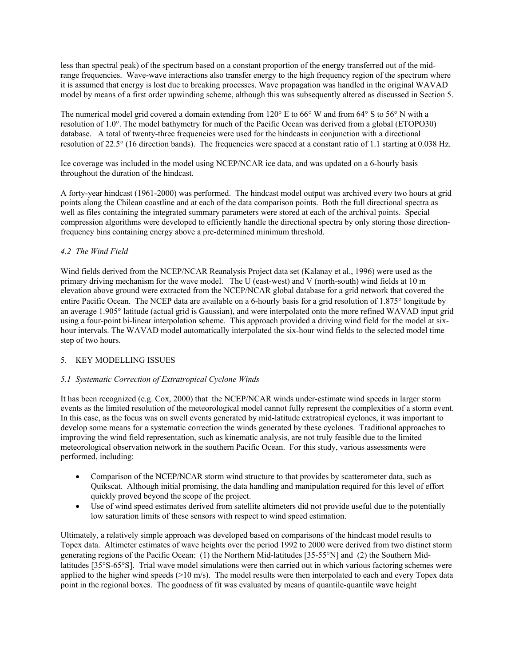less than spectral peak) of the spectrum based on a constant proportion of the energy transferred out of the midrange frequencies. Wave-wave interactions also transfer energy to the high frequency region of the spectrum where it is assumed that energy is lost due to breaking processes. Wave propagation was handled in the original WAVAD model by means of a first order upwinding scheme, although this was subsequently altered as discussed in Section 5.

The numerical model grid covered a domain extending from 120° E to 66° W and from 64° S to 56° N with a resolution of 1.0°. The model bathymetry for much of the Pacific Ocean was derived from a global (ETOPO30) database. A total of twenty-three frequencies were used for the hindcasts in conjunction with a directional resolution of 22.5° (16 direction bands). The frequencies were spaced at a constant ratio of 1.1 starting at 0.038 Hz.

Ice coverage was included in the model using NCEP/NCAR ice data, and was updated on a 6-hourly basis throughout the duration of the hindcast.

A forty-year hindcast (1961-2000) was performed. The hindcast model output was archived every two hours at grid points along the Chilean coastline and at each of the data comparison points. Both the full directional spectra as well as files containing the integrated summary parameters were stored at each of the archival points. Special compression algorithms were developed to efficiently handle the directional spectra by only storing those directionfrequency bins containing energy above a pre-determined minimum threshold.

# *4.2 The Wind Field*

Wind fields derived from the NCEP/NCAR Reanalysis Project data set (Kalanay et al., 1996) were used as the primary driving mechanism for the wave model. The U (east-west) and V (north-south) wind fields at 10 m elevation above ground were extracted from the NCEP/NCAR global database for a grid network that covered the entire Pacific Ocean. The NCEP data are available on a 6-hourly basis for a grid resolution of 1.875° longitude by an average 1.905° latitude (actual grid is Gaussian), and were interpolated onto the more refined WAVAD input grid using a four-point bi-linear interpolation scheme. This approach provided a driving wind field for the model at sixhour intervals. The WAVAD model automatically interpolated the six-hour wind fields to the selected model time step of two hours.

# 5. KEY MODELLING ISSUES

# *5.1 Systematic Correction of Extratropical Cyclone Winds*

It has been recognized (e.g. Cox, 2000) that the NCEP/NCAR winds under-estimate wind speeds in larger storm events as the limited resolution of the meteorological model cannot fully represent the complexities of a storm event. In this case, as the focus was on swell events generated by mid-latitude extratropical cyclones, it was important to develop some means for a systematic correction the winds generated by these cyclones. Traditional approaches to improving the wind field representation, such as kinematic analysis, are not truly feasible due to the limited meteorological observation network in the southern Pacific Ocean. For this study, various assessments were performed, including:

- Comparison of the NCEP/NCAR storm wind structure to that provides by scatterometer data, such as Quikscat. Although initial promising, the data handling and manipulation required for this level of effort quickly proved beyond the scope of the project.
- Use of wind speed estimates derived from satellite altimeters did not provide useful due to the potentially low saturation limits of these sensors with respect to wind speed estimation.

Ultimately, a relatively simple approach was developed based on comparisons of the hindcast model results to Topex data. Altimeter estimates of wave heights over the period 1992 to 2000 were derived from two distinct storm generating regions of the Pacific Ocean: (1) the Northern Mid-latitudes [35-55°N] and (2) the Southern Midlatitudes [35°S-65°S]. Trial wave model simulations were then carried out in which various factoring schemes were applied to the higher wind speeds  $(>10 \text{ m/s})$ . The model results were then interpolated to each and every Topex data point in the regional boxes. The goodness of fit was evaluated by means of quantile-quantile wave height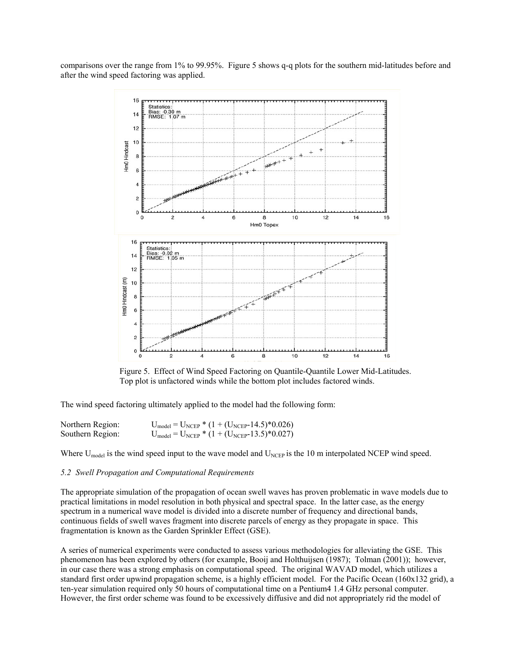comparisons over the range from 1% to 99.95%. Figure 5 shows q-q plots for the southern mid-latitudes before and after the wind speed factoring was applied.



Figure 5. Effect of Wind Speed Factoring on Quantile-Quantile Lower Mid-Latitudes. Top plot is unfactored winds while the bottom plot includes factored winds.

The wind speed factoring ultimately applied to the model had the following form:

| Northern Region: | $U_{\text{model}} = U_{\text{NCEP}} * (1 + (U_{\text{NCEP}} - 14.5) * 0.026)$ |
|------------------|-------------------------------------------------------------------------------|
| Southern Region: | $U_{\text{model}} = U_{\text{NCEP}} * (1 + (U_{\text{NCEP}} - 13.5) * 0.027)$ |

Where  $U_{model}$  is the wind speed input to the wave model and  $U_{NCEP}$  is the 10 m interpolated NCEP wind speed.

### *5.2 Swell Propagation and Computational Requirements*

The appropriate simulation of the propagation of ocean swell waves has proven problematic in wave models due to practical limitations in model resolution in both physical and spectral space. In the latter case, as the energy spectrum in a numerical wave model is divided into a discrete number of frequency and directional bands, continuous fields of swell waves fragment into discrete parcels of energy as they propagate in space. This fragmentation is known as the Garden Sprinkler Effect (GSE).

A series of numerical experiments were conducted to assess various methodologies for alleviating the GSE. This phenomenon has been explored by others (for example, Booij and Holthuijsen (1987); Tolman (2001)); however, in our case there was a strong emphasis on computational speed. The original WAVAD model, which utilizes a standard first order upwind propagation scheme, is a highly efficient model. For the Pacific Ocean (160x132 grid), a ten-year simulation required only 50 hours of computational time on a Pentium4 1.4 GHz personal computer. However, the first order scheme was found to be excessively diffusive and did not appropriately rid the model of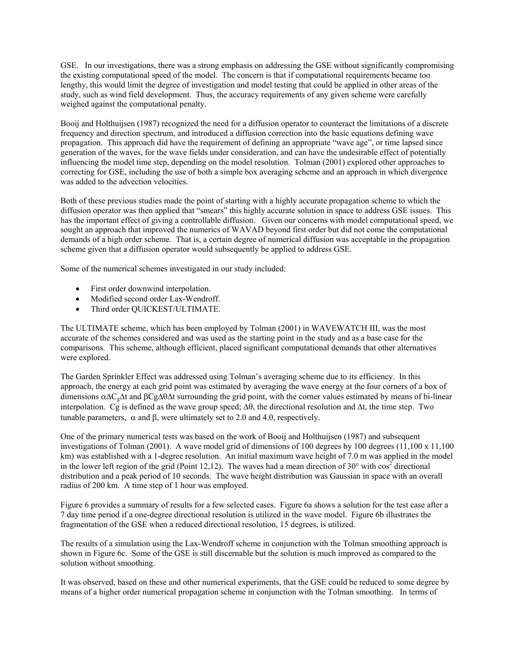GSE. In our investigations, there was a strong emphasis on addressing the GSE without significantly compromising the existing computational speed of the model. The concern is that if computational requirements became too lengthy, this would limit the degree of investigation and model testing that could be applied in other areas of the study, such as wind field development. Thus, the accuracy requirements of any given scheme were carefully weighed against the computational penalty.

Booij and Holthuijsen (1987) recognized the need for a diffusion operator to counteract the limitations of a discrete frequency and direction spectrum, and introduced a diffusion correction into the basic equations defining wave propagation. This approach did have the requirement of defining an appropriate "wave age", or time lapsed since generation of the waves, for the wave fields under consideration, and can have the undesirable effect of potentially influencing the model time step, depending on the model resolution. Tolman (2001) explored other approaches to correcting for GSE, including the use of both a simple box averaging scheme and an approach in which divergence was added to the advection velocities.

Both of these previous studies made the point of starting with a highly accurate propagation scheme to which the diffusion operator was then applied that "smears" this highly accurate solution in space to address GSE issues. This has the important effect of giving a controllable diffusion. Given our concerns with model computational speed, we sought an approach that improved the numerics of WAVAD beyond first order but did not come the computational demands of a high order scheme. That is, a certain degree of numerical diffusion was acceptable in the propagation scheme given that a diffusion operator would subsequently be applied to address GSE.

Some of the numerical schemes investigated in our study included:

- First order downwind interpolation.
- Modified second order Lax-Wendroff.
- Third order OUICKEST/ULTIMATE.

The ULTIMATE scheme, which has been employed by Tolman (2001) in WAVEWATCH III, was the most accurate of the schemes considered and was used as the starting point in the study and as a base case for the comparisons. This scheme, although efficient, placed significant computational demands that other alternatives were explored.

The Garden Sprinkler Effect was addressed using Tolman's averaging scheme due to its efficiency. In this approach, the energy at each grid point was estimated by averaging the wave energy at the four corners of a box of dimensions α∆Cg∆t and βCg∆θ∆t surrounding the grid point, with the corner values estimated by means of bi-linear interpolation. Cg is defined as the wave group speed; ∆θ, the directional resolution and ∆t, the time step. Two tunable parameters, α and β, were ultimately set to 2.0 and 4.0, respectively.

One of the primary numerical tests was based on the work of Booij and Holthuijsen (1987) and subsequent investigations of Tolman (2001). A wave model grid of dimensions of 100 degrees by 100 degrees (11,100 x 11,100 km) was established with a 1-degree resolution. An initial maximum wave height of 7.0 m was applied in the model in the lower left region of the grid (Point 12,12). The waves had a mean direction of  $30^{\circ}$  with cos<sup>2</sup> directional distribution and a peak period of 10 seconds. The wave height distribution was Gaussian in space with an overall radius of 200 km. A time step of 1 hour was employed.

Figure 6 provides a summary of results for a few selected cases. Figure 6a shows a solution for the test case after a 7 day time period if a one-degree directional resolution is utilized in the wave model. Figure 6b illustrates the fragmentation of the GSE when a reduced directional resolution, 15 degrees, is utilized.

The results of a simulation using the Lax-Wendroff scheme in conjunction with the Tolman smoothing approach is shown in Figure 6c. Some of the GSE is still discernable but the solution is much improved as compared to the solution without smoothing.

It was observed, based on these and other numerical experiments, that the GSE could be reduced to some degree by means of a higher order numerical propagation scheme in conjunction with the Tolman smoothing. In terms of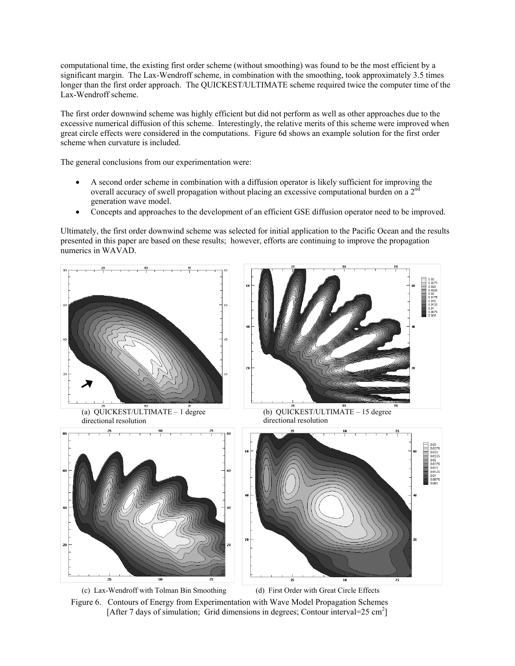computational time, the existing first order scheme (without smoothing) was found to be the most efficient by a significant margin. The Lax-Wendroff scheme, in combination with the smoothing, took approximately 3.5 times longer than the first order approach. The QUICKEST/ULTIMATE scheme required twice the computer time of the Lax-Wendroff scheme.

The first order downwind scheme was highly efficient but did not perform as well as other approaches due to the excessive numerical diffusion of this scheme. Interestingly, the relative merits of this scheme were improved when great circle effects were considered in the computations. Figure 6d shows an example solution for the first order scheme when curvature is included.

The general conclusions from our experimentation were:

- A second order scheme in combination with a diffusion operator is likely sufficient for improving the overall accuracy of swell propagation without placing an excessive computational burden on a  $2^{nc}$ generation wave model.
- Concepts and approaches to the development of an efficient GSE diffusion operator need to be improved.

Ultimately, the first order downwind scheme was selected for initial application to the Pacific Ocean and the results presented in this paper are based on these results; however, efforts are continuing to improve the propagation numerics in WAVAD.



Figure 6. Contours of Energy from Experimentation with Wave Model Propagation Schemes [After 7 days of simulation; Grid dimensions in degrees; Contour interval=25 cm<sup>2</sup>]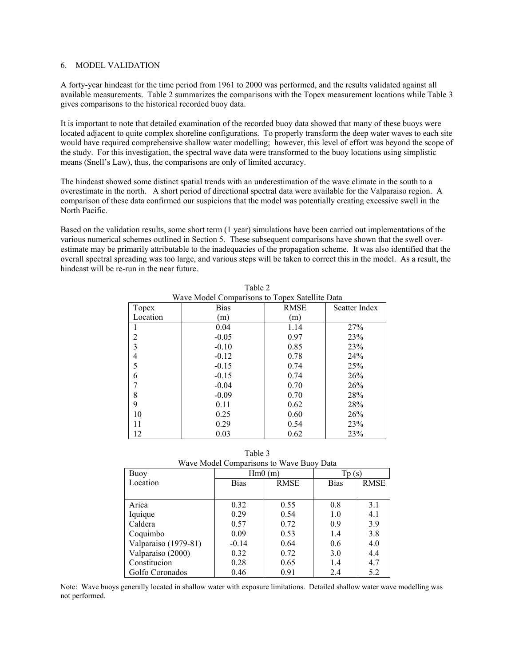#### 6. MODEL VALIDATION

A forty-year hindcast for the time period from 1961 to 2000 was performed, and the results validated against all available measurements. Table 2 summarizes the comparisons with the Topex measurement locations while Table 3 gives comparisons to the historical recorded buoy data.

It is important to note that detailed examination of the recorded buoy data showed that many of these buoys were located adjacent to quite complex shoreline configurations. To properly transform the deep water waves to each site would have required comprehensive shallow water modelling; however, this level of effort was beyond the scope of the study. For this investigation, the spectral wave data were transformed to the buoy locations using simplistic means (Snell's Law), thus, the comparisons are only of limited accuracy.

The hindcast showed some distinct spatial trends with an underestimation of the wave climate in the south to a overestimate in the north. A short period of directional spectral data were available for the Valparaiso region. A comparison of these data confirmed our suspicions that the model was potentially creating excessive swell in the North Pacific.

Based on the validation results, some short term (1 year) simulations have been carried out implementations of the various numerical schemes outlined in Section 5. These subsequent comparisons have shown that the swell overestimate may be primarily attributable to the inadequacies of the propagation scheme. It was also identified that the overall spectral spreading was too large, and various steps will be taken to correct this in the model. As a result, the hindcast will be re-run in the near future.

Table 2

| Wave Model Comparisons to Topex Satellite Data |             |             |               |  |  |
|------------------------------------------------|-------------|-------------|---------------|--|--|
| Topex                                          | <b>Bias</b> | <b>RMSE</b> | Scatter Index |  |  |
| Location                                       | (m)         | (m)         |               |  |  |
|                                                | 0.04        | 1.14        | 27%           |  |  |
| 2                                              | $-0.05$     | 0.97        | 23%           |  |  |
| 3                                              | $-0.10$     | 0.85        | 23%           |  |  |
| 4                                              | $-0.12$     | 0.78        | 24%           |  |  |
| 5                                              | $-0.15$     | 0.74        | 25%           |  |  |
| 6                                              | $-0.15$     | 0.74        | 26%           |  |  |
|                                                | $-0.04$     | 0.70        | 26%           |  |  |
| 8                                              | $-0.09$     | 0.70        | 28%           |  |  |
| 9                                              | 0.11        | 0.62        | 28%           |  |  |
| 10                                             | 0.25        | 0.60        | 26%           |  |  |
| 11                                             | 0.29        | 0.54        | 23%           |  |  |
| 12                                             | 0.03        | 0.62        | 23%           |  |  |

| Table 3                                  |  |  |  |  |
|------------------------------------------|--|--|--|--|
| Wave Model Comparisons to Wave Buoy Data |  |  |  |  |

| Buoy                 | Hm0(m)      |             | $\text{Tp (s)}$ |             |
|----------------------|-------------|-------------|-----------------|-------------|
| Location             | <b>Bias</b> | <b>RMSE</b> | <b>Bias</b>     | <b>RMSE</b> |
|                      |             |             |                 |             |
| Arica                | 0.32        | 0.55        | 0.8             | 3.1         |
| Iquique              | 0.29        | 0.54        | 1.0             | 4.1         |
| Caldera              | 0.57        | 0.72        | 0.9             | 3.9         |
| Coquimbo             | 0.09        | 0.53        | 1.4             | 3.8         |
| Valparaiso (1979-81) | $-0.14$     | 0.64        | 0.6             | 4.0         |
| Valparaiso (2000)    | 0.32        | 0.72        | 3.0             | 4.4         |
| Constitucion         | 0.28        | 0.65        | 1.4             | 4.7         |
| Golfo Coronados      | 0.46        | 0.91        | 2.4             | 5.2         |

Note: Wave buoys generally located in shallow water with exposure limitations. Detailed shallow water wave modelling was not performed.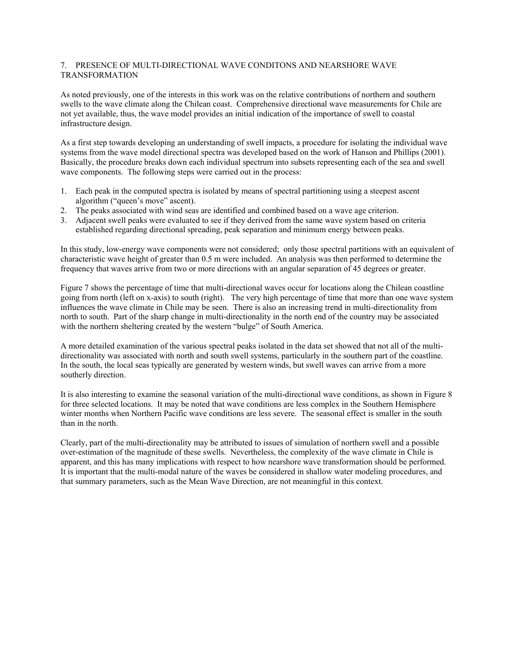# 7. PRESENCE OF MULTI-DIRECTIONAL WAVE CONDITONS AND NEARSHORE WAVE TRANSFORMATION

As noted previously, one of the interests in this work was on the relative contributions of northern and southern swells to the wave climate along the Chilean coast. Comprehensive directional wave measurements for Chile are not yet available, thus, the wave model provides an initial indication of the importance of swell to coastal infrastructure design.

As a first step towards developing an understanding of swell impacts, a procedure for isolating the individual wave systems from the wave model directional spectra was developed based on the work of Hanson and Phillips (2001). Basically, the procedure breaks down each individual spectrum into subsets representing each of the sea and swell wave components. The following steps were carried out in the process:

- 1. Each peak in the computed spectra is isolated by means of spectral partitioning using a steepest ascent algorithm ("queen's move" ascent).
- 2. The peaks associated with wind seas are identified and combined based on a wave age criterion.
- 3. Adjacent swell peaks were evaluated to see if they derived from the same wave system based on criteria established regarding directional spreading, peak separation and minimum energy between peaks.

In this study, low-energy wave components were not considered; only those spectral partitions with an equivalent of characteristic wave height of greater than 0.5 m were included. An analysis was then performed to determine the frequency that waves arrive from two or more directions with an angular separation of 45 degrees or greater.

Figure 7 shows the percentage of time that multi-directional waves occur for locations along the Chilean coastline going from north (left on x-axis) to south (right). The very high percentage of time that more than one wave system influences the wave climate in Chile may be seen. There is also an increasing trend in multi-directionality from north to south. Part of the sharp change in multi-directionality in the north end of the country may be associated with the northern sheltering created by the western "bulge" of South America.

A more detailed examination of the various spectral peaks isolated in the data set showed that not all of the multidirectionality was associated with north and south swell systems, particularly in the southern part of the coastline. In the south, the local seas typically are generated by western winds, but swell waves can arrive from a more southerly direction.

It is also interesting to examine the seasonal variation of the multi-directional wave conditions, as shown in Figure 8 for three selected locations. It may be noted that wave conditions are less complex in the Southern Hemisphere winter months when Northern Pacific wave conditions are less severe. The seasonal effect is smaller in the south than in the north.

Clearly, part of the multi-directionality may be attributed to issues of simulation of northern swell and a possible over-estimation of the magnitude of these swells. Nevertheless, the complexity of the wave climate in Chile is apparent, and this has many implications with respect to how nearshore wave transformation should be performed. It is important that the multi-modal nature of the waves be considered in shallow water modeling procedures, and that summary parameters, such as the Mean Wave Direction, are not meaningful in this context.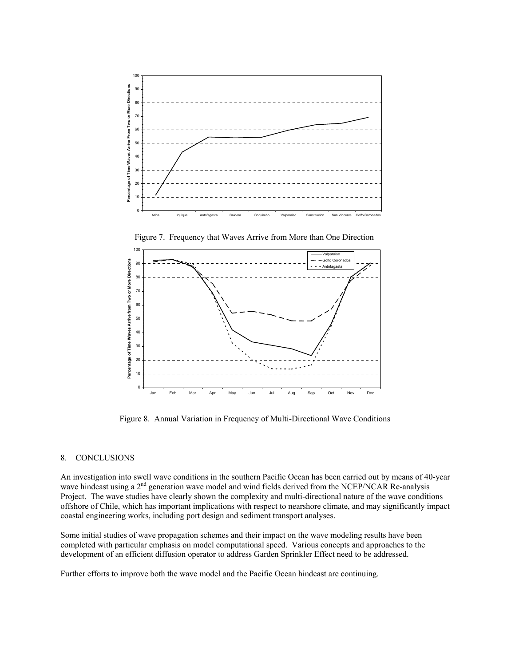

Figure 7. Frequency that Waves Arrive from More than One Direction



Figure 8. Annual Variation in Frequency of Multi-Directional Wave Conditions

#### 8. CONCLUSIONS

An investigation into swell wave conditions in the southern Pacific Ocean has been carried out by means of 40-year wave hindcast using a 2<sup>nd</sup> generation wave model and wind fields derived from the NCEP/NCAR Re-analysis wave Project. The wave studies have clearly shown the complexity and multi-directional nature of the wave conditions offshore of Chile, which has important implications with respect to nearshore climate, and may significantly impact coastal engineering works, including port design and sediment transport analyses.

Some initial studies of wave propagation schemes and their impact on the wave modeling results have been completed with particular emphasis on model computational speed. Various concepts and approaches to the development of an efficient diffusion operator to address Garden Sprinkler Effect need to be addressed.

Further efforts to improve both the wave model and the Pacific Ocean hindcast are continuing.